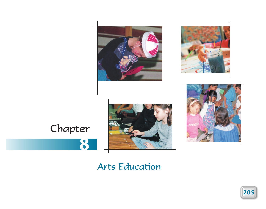





# Chapter

**8**



# Arts Education

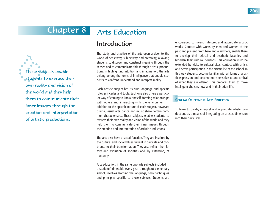# Chapter 8 Arts Education

# **Introduction**

The study and practice of the arts open a door to the world of sensitivity, subjectivity and creativity, allowing students to discover and construct meaning through the senses and to communicate this through artistic productions. In highlighting intuition and imagination, the arts belong among the forms of intelligence that enable students to confront, understand and interpret reality.

Each artistic subject has its own language and specific rules, principles and tools. Each one also offers a particular way of coming to know oneself, forming relationships with others and interacting with the environment. In addition to the specific nature of each subject, however, drama, visual arts, dance and music share certain common characteristics. These subjects enable students to express their own reality and vision of the world and they help them to communicate their inner images through the creation and interpretation of artistic productions.

The arts also have a social function. They are inspired by the cultural and social values current in daily life and contribute to their transformation. They also reflect the history and evolution of societies and, by extension, of humanity.

Arts education, in the same two arts subjects included in a students' timetable every year throughout elementary school, involves learning the language, basic techniques and principles specific to those subjects. Students are

encouraged to invent, interpret and appreciate artistic works. Contact with works by men and women of the past and present, from here and elsewhere, enable them to develop their critical and aesthetic faculties and broaden their cultural horizons. This education must be extended by visits to cultural sites, contact with artists and active participation in the artistic life of the school. In this way, students become familiar with all forms of artistic expression and become more sensitive to and critical of what they are offered. This prepares them to make intelligent choices, now and in their adult life.

### **GENERAL OBJECTIVE IN ARTS EDUCATION**

To learn to create, interpret and appreciate artistic productions as a means of integrating an artistic dimension into their daily lives.

 $\bullet$ These subjects enable students to express their own reality and vision of the world and they help them to communicate their inner images through the creation and interpretation

of artistic productions.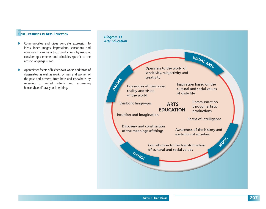### **CORE LEARNINGS IN ARTS EDUCATION**

- ◗ Communicates and gives concrete expression to ideas, inner images, impressions, sensations and emotions in various artistic productions, by using or considering elements and principles specific to the artistic languages used.
- ◗ Appreciates facets of his/her own works and those of classmates, as well as works by men and women of the past and present, from here and elsewhere, by referring to varied criteria and expressing himself/herself orally or in writing.

**Diagram 11 Arts Education**VISUAL ARTS Openness to the world of sensitivity, subjectivity and creativity DRAMA Inspiration based on the Expression of their own cultural and social values reality and vision of daily life of the world Communication Symbolic languages **ARTS** through artistic **EDUCATION** productions Intuition and imagination Forms of intelligence Discovery and construction Awareness of the history and of the meanings of things evolution of societies MUSIC Contribution to the transformation of cultural and social values DANCE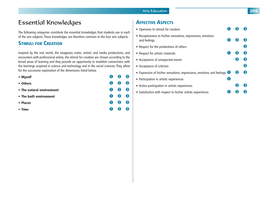### Arts Education **208**

# Essential Knowledges

The following categories constitute the essential knowledges that students use in each of the arts subjects. These knowledges are therefore common to the four arts subjects.

### **STIMULI FOR CREATION**

Inspired by the real world, the imaginary realm, artistic and media productions, and encounters with professional artists, the stimuli for creation are chosen according to the broad areas of learning and they provide an opportunity to establish connections with the learnings acquired in science and technology and in the social sciences. They allow for the successive exploration of the dimensions listed below.

| • Myself                  | O         |           | 2 8 |
|---------------------------|-----------|-----------|-----|
| • Others                  | O         |           | 2 8 |
| • The natural environment | $\bullet$ | $\bullet$ | - 8 |
| • The built environment   | $\bullet$ |           | 2 8 |
| • Places                  | $\bullet$ |           | 2 8 |
| • Time                    | O         | の         | B   |

### **AFFECTIVE ASPECTS**

| • Openness to stimuli for creation                                                  |           |   | B |
|-------------------------------------------------------------------------------------|-----------|---|---|
| • Receptiveness to his/her sensations, impressions, emotions<br>and feelings        | $\bullet$ |   | 8 |
| • Respect for the productions of others                                             |           |   | 3 |
| • Respect for artistic materials                                                    | 1         |   | 8 |
| • Acceptance of unexpected events                                                   |           |   | 8 |
| • Acceptance of criticism                                                           |           |   | 6 |
| • Expression of his/her sensations, impressions, emotions and feelings <sup>1</sup> |           | 2 | 8 |
| • Participation in artistic experiences                                             | 1         |   |   |
| • Active participation in artistic experiences                                      |           |   | 8 |
| • Satisfaction with respect to his/her artistic experiences                         |           |   | З |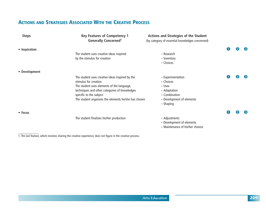### **ACTIONS AND STRATEGIES ASSOCIATED WITH THE CREATIVE PROCESS**

| <b>Steps</b>  | <b>Key Features of Competency 1</b><br><b>Generally Concerned<sup>1</sup></b> | <b>Actions and Strategies of the Student</b><br>(by category of essential knowledges concerned) |  |  |
|---------------|-------------------------------------------------------------------------------|-------------------------------------------------------------------------------------------------|--|--|
| • Inspiration |                                                                               |                                                                                                 |  |  |
|               | The student uses creative ideas inspired                                      | – Research                                                                                      |  |  |
|               | by the stimulus for creation                                                  | - Inventory                                                                                     |  |  |
|               |                                                                               | – Choices                                                                                       |  |  |
| • Development |                                                                               |                                                                                                 |  |  |
|               | The student uses creative ideas inspired by the                               | - Experimentation                                                                               |  |  |
|               | stimulus for creation                                                         | – Choices                                                                                       |  |  |
|               | The student uses elements of the language,                                    | – Uses                                                                                          |  |  |
|               | techniques and other categories of knowledges                                 | - Adaptation                                                                                    |  |  |
|               | specific to the subject                                                       | $-$ Combination                                                                                 |  |  |
|               | The student organizes the elements he/she has chosen                          | - Development of elements                                                                       |  |  |
|               |                                                                               | $-$ Shaping                                                                                     |  |  |
| • Focus       |                                                                               |                                                                                                 |  |  |
|               | The student finalizes his/her production                                      | - Adjustments                                                                                   |  |  |
|               |                                                                               | - Development of elements                                                                       |  |  |
|               |                                                                               | - Maintenance of his/her choices                                                                |  |  |

1. The last feature, which involves sharing the creative experience, does not figure in the creative process.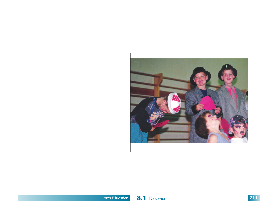

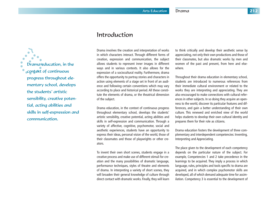### Introduction

Drama education, in the context of continuous progress throughout elementary school, develops the students' artistic sensibility, creative potential, acting abilities and skills in self-expression and communication.

 $\bullet$ 

Drama involves the creation and interpretation of works in which characters interact. Through different forms of creation, expression and communication, the subject allows students to represent inner images in different ways and in various contexts. It also allows for the expression of a sociocultural reality. Furthermore, drama offers the opportunity to portray stories and characters in action using elements of a stage set in front of an audience and following certain conventions which may vary according to place and historical period. All these constitute the elements of drama, or the theatrical dimension of the subject.

Drama education, in the context of continuous progress throughout elementary school, develops the students' artistic sensibility, creative potential, acting abilities and skills in self-expression and communication. Through a variety of affective, cognitive, psychomotor, social and aesthetic experiences, students have an opportunity to express their ideas, personal vision of the world, those of their classmates and those of playwrights or other creators.

To invent their own short scenes, students engage in a creative process and make use of different stimuli for creation and the many possibilities of dramatic language, performance techniques, styles of theatre and elements of drama. In interpreting a variety of short scenes, they will broaden their general knowledge of culture through direct contact with dramatic works. Finally, they will learn to think critically and develop their aesthetic sense by appreciating, not only their own productions and those of their classmates, but also dramatic works by men and women of the past and present, from here and elsewhere.

Throughout their drama education in elementary school, students are introduced to numerous references from their immediate cultural environment or related to the works they are interpreting and appreciating. They are also encouraged to make connections with cultural references in other subjects. In so doing they acquire an openness to the world, discover its particular features and differences, and gain a better understanding of their own culture. This renewed and enriched view of the world helps students to develop their own cultural identity and prepares them for their role as citizens.

Drama education fosters the development of three complementary and interdependent competencies: Inventing, Interpreting and Appreciating.

The place given to the development of each competency depends on the particular nature of the subject. For example, Competencies 1 and 2 take precedence in the learnings to be acquired. They imply a process in which language, rules, principles and tools specific to drama are acquired, and in which complex psychomotor skills are developed, all of which demand adequate time for assimilation. Competency 3 is essential to the development of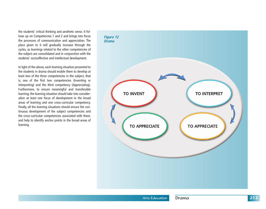the students' critical thinking and aesthetic sense. It follows up on Competencies 1 and 2 and brings into focus the processes of communication and appreciation. The place given to it will gradually increase through the cycles, as learnings related to the other competencies of the subject are consolidated and in conjunction with the students' socioaffective and intellectual development.

In light of the above, each learning situation presented to the students in drama should enable them to develop at least two of the three competencies in the subject, that is, one of the first two competencies (Inventing or Interpreting) and the third competency (Appreciating). Furthermore, to ensure meaningful and transferable learning, the learning situation should take into consideration at least one focus of development in the broad areas of learning and one cross-curricular competency. Finally, all the learning situations should ensure the continuous development of the subject competencies and the cross-curricular competencies associated with them, and help to identify anchor points in the broad areas of learning.

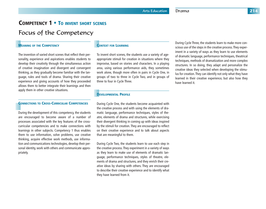### **COMPETENCY 1** • **TO INVENT SHORT SCENES**

# Focus of the Competency

#### **MEANING OF THE COMPETENCY**

The invention of varied short scenes that reflect their personality, experience and aspirations enables students to develop their creativity through the simultaneous action of creative imagination and divergent and convergent thinking, as they gradually become familiar with the language, rules and tools of drama. Sharing their creative experience and giving accounts of how they proceeded allows them to better integrate their learnings and then apply them in other creative situations.

### **CONNECTIONS TO CROSS-CURRICULAR COMPETENCIES**

During the development of this competency, the students are encouraged to become aware of a number of processes associated with the key features of the crosscurricular competencies and to make connections with learnings in other subjects. Competency 1 thus enables them to use information, solve problems, use creative thinking, acquire effective work methods, use information and communications technologies, develop their personal identity, work with others and communicate appropriately.

#### **CONTEXT FOR LEARNING**

To invent short scenes, the students use a variety of ageappropriate stimuli for creation in situations where they improvise, based on stories and characters. In a playing area, using various performance aids, they sometimes work alone, though more often in pairs in Cycle One, in groups of two to three in Cycle Two, and in groups of three to four in Cycle Three.

#### **DEVELOPMENTAL PROFILE**

During Cycle One, the students become acquainted with the creative process and with using the elements of dramatic language, performance techniques, styles of theatre, elements of drama and structures, while exercising their divergent thinking in coming up with ideas inspired by the stimuli for creation. They are encouraged to reflect on their creative experience and to talk about aspects that are meaningful to them.

During Cycle Two, the students learn to use each step in the creative process. They experiment in a variety of ways as they learn to make use of elements of dramatic language, performance techniques, styles of theatre, elements of drama and structures, and they enrich their creative ideas by sharing with others. They are encouraged to describe their creative experience and to identify what they have learned from it.

During Cycle Three, the students learn to make more conscious use of the steps in the creative process.They experiment in a variety of ways as they learn to use elements of dramatic language, performance techniques, theatrical techniques, methods of dramatization and more complex structures. In so doing, they adapt and personalize the creative ideas they selected when developing the stimulus for creation.They can identify not only what they have learned in their creative experience, but also how they have learned it.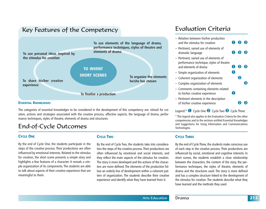## Key Features of the Competency



#### **ESSENTIAL KNOWLEDGES**

The categories of essential knowledges to be considered in the development of this competency are: stimuli for creation, actions and strategies associated with the creative process, affective aspects, the language of drama, performance techniques, styles of theatre, elements of drama and structures.

# End-of-Cycle Outcomes

### **CYCLE ONE**

By the end of Cycle One, the students participate in the steps of the creative process. Their productions are often influenced by emotional interests. Related to the stimulus for creation, the short scene presents a simple story and highlights a few features of a character. It reveals a simple organization of its components. The students are able to talk about aspects of their creative experience that are meaningful to them.

### **CYCLE TWO**

By the end of Cycle Two, the students take into consideration the steps of the creative process.Their productions are often influenced by emotional and social interests, and they reflect the main aspects of the stimulus for creation. The story is more developed and the actions of the characters are more defined. The elements of the production follow an orderly line of development within a coherent pattern of organization. The students describe their creative experience and identify what they have learned from it.

# Evaluation Criteria

| - Relation between his/her production<br>and the stimulus for creation                                      |   | 2 | G. |
|-------------------------------------------------------------------------------------------------------------|---|---|----|
| - Pertinent, varied use of elements of<br>dramatic language                                                 | 1 | 2 | B  |
| - Pertinent, varied use of elements of<br>performance technique, styles of theatre<br>and elements of drama |   | 2 | 3  |
| - Simple organization of elements                                                                           |   |   |    |
| - Coherent organization of elements                                                                         |   | 2 |    |
| - Complex organization of elements                                                                          |   |   |    |
| - Comments containing elements related<br>to his/her creative experience                                    |   |   |    |
| - Pertinent elements in the description<br>of his/her creative experience                                   |   |   |    |
|                                                                                                             |   |   |    |

Legend:\*  $\bullet$  Cycle One  $\bullet$  Cycle Two  $\bullet$  Cycle Three

\* This legend also applies to the Evaluation Criteria for the other competencies and to the sections entitled Essential Knowledges and Suggestions for Using Information and Communications Technologies.

### **CYCLE THREE**

By the end of Cycle Three, the students make conscious use of each step in the creative process. Their productions are influenced by social, emotional and cognitive interests. In short scenes, the students establish a close relationship between the characters, the content of the story, the performance techniques, the styles of theatre, elements of drama and the structures used. The story is more defined and has a complex structure linked to the development of the stimulus for creation. The students describe what they have learned and the methods they used.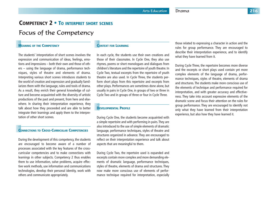## **COMPETENCY 2** • **TO INTERPRET SHORT SCENES**

### Focus of the Competency

### **MEANING OF THE COMPETENCY**

The students' interpretation of short scenes involves the expression and communication of ideas, feelings, emotions and impressions – both their own and those of others – using the language of drama, performance techniques, styles of theatre and elements of drama. Interpreting various short scenes introduces students to the world of creation and expression and gradually familiarizes them with the language, rules and tools of drama. As a result, they enrich their general knowledge of culture and become acquainted with the diversity of artistic productions of the past and present, from here and elsewhere. In sharing their interpretation experience, they talk about how they proceeded and are able to better integrate their learnings and apply them to the interpretation of other short scenes.

### **CONNECTIONS TO CROSS-CURRICULAR COMPETENCIES**

During the development of this competency, the students are encouraged to become aware of a number of processes associated with the key features of the crosscurricular competencies and to make connections with learnings in other subjects. Competency 2 thus enables them to use information, solve problems, acquire effective work methods, use information and communications technologies, develop their personal identity, work with others and communicate appropriately.

### **CONTEXT FOR LEARNING**

In each cycle, the students use their own creations and those of their classmates. In Cycle One, they also use rhymes, poems or short monologues and dialogues from children's literature and the repertoire of youth theatre. In Cycle Two, textual excerpts from the repertoire of youth theatre are also used. In Cycle Three, the students perform short plays from this repertoire and excerpts from other plays. Performances are sometimes done alone, but usually in pairs in Cycle One, in groups of two or three in Cycle Two and in groups of three or four in Cycle Three.

#### **DEVELOPMENTAL PROFILE**

During Cycle One, the students become acquainted with a simple repertoire and with performing in pairs. They are also introduced to the use of simple elements of dramatic language, performance techniques, styles of theatre and structures organized in advance. They are encouraged to reflect on their interpretation experience and talk about aspects that are meaningful to them.

During Cycle Two, the repertoire used is expanded and excerpts contain more complex and more demanding elements of dramatic language, performance techniques, styles of theatre, elements of drama and structures. They now make more conscious use of elements of performance technique required for interpretation, especially

those related to expressing a character in action and the rules for group performance. They are encouraged to describe their interpretation experience, and to identify what they have learned from it.

During Cycle Three, the repertoire becomes more diverse and the excerpts or short plays used contain yet more complex elements of the language of drama, performance techniques, styles of theatre, elements of drama and structures. The students make more conscious use of the elements of technique and performance required for interpretation, and with greater accuracy and effectiveness. They take into account expressive elements of the dramatic scene and focus their attention on the rules for group performance. They are encouraged to identify not only what they have learned from their interpretation experience, but also how they have learned it.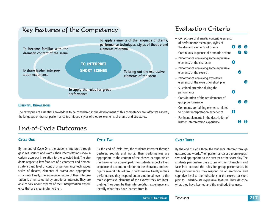# Key Features of the Competency



#### **ESSENTIAL KNOWLEDGES**

The categories of essential knowledges to be considered in the development of this competency are: affective aspects, the language of drama, performance techniques, styles of theatre, elements of drama and structures.

# End-of-Cycle Outcomes

### **CYCLE ONE**

By the end of Cycle One, the students interpret through gestures, sounds and words. Their interpretations show a certain accuracy in relation to the selected text. The students respect a few features of a character and demonstrate a basic level of control of performance techniques, styles of theatre, elements of drama and appropriate structures. Finally, the expressive nature of their interpretation is often coloured by emotional interests. They are able to talk about aspects of their interpretation experience that are meaningful to them.

### **CYCLE TWO**

By the end of Cycle Two, the students interpret through gestures, sounds and words. Their performances are appropriate to the content of the chosen excerpt, which has become more developed.The students respect a fixed sequence of actions, in relation to the character, and recognize several rules of group performance. Finally, in their performances they respond on an emotional level to the main expressive elements of the excerpt they are interpreting. They describe their interpretation experience and identify what they have learned from it.

# Evaluation Criteria

| - Correct use of dramatic content, elements<br>of performance technique, styles of<br>O<br>theatre and elements of drama | 2 | 3 |
|--------------------------------------------------------------------------------------------------------------------------|---|---|
| - Continuous sequence of dramatic actions                                                                                | 2 |   |
| - Performance conveying some expressive<br>elements of the character<br>1                                                |   |   |
| - Performance conveying some expressive<br>elements of the excerpt                                                       | 2 |   |
| - Performance conveying expressive<br>elements of the excerpt or short play                                              |   | 3 |
| - Sustained attention during the<br>1<br>performance                                                                     |   |   |
| - Consideration of the requirements of<br>group performance                                                              | 2 |   |
| - Comments containing elements related<br>1.<br>to his/her interpretation experience                                     |   |   |
| - Pertinent elements in the description of<br>his/her interpretation experience                                          |   |   |

### **CYCLE THREE**

By the end of Cycle Three, the students interpret through gestures and words. Their performances are more expressive and appropriate to the excerpt or the short play. The students personalize the actions of their characters and take into account the rules for group performance. In their performances, they respond on an emotional and cognitive level to the indications in the excerpt or short play to underline its expressive features. They describe what they have learned and the methods they used.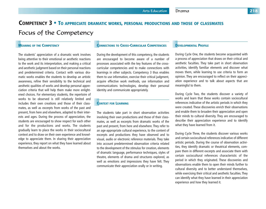# **COMPETENCY 3** • **TO APPRECIATE DRAMATIC WORKS, PERSONAL PRODUCTIONS AND THOSE OF CLASSMATES** Focus of the Competency

#### **MEANING OF THE COMPETENCY**

The students' appreciation of a dramatic work involves being attentive to their emotional or aesthetic reactions to the work and its interpretation, and making a critical and aesthetic judgment based on their personal reactions and predetermined criteria. Contact with various dramatic works enables the students to develop an artistic awareness, refine their sensibility to the technical and aesthetic qualities of works and develop personal appreciation criteria that will help them make more enlightened choices. For elementary students, the repertoire of works to be observed is still relatively limited and includes their own creations and those of their classmates, as well as excerpts from works of the past and present, from here and elsewhere, adapted to their interests and ages. During the process of appreciation, the students are encouraged to show respect for each other and for the productions and works. The students gradually learn to place the works in their sociocultural context and to draw on their own experience and knowledge to appreciate them. In sharing their appreciation experience, they report on what they have learned about themselves and about the works.

#### **CONNECTIONS TO CROSS-CURRICULAR COMPETENCIES**

During the development of this competency, the students are encouraged to become aware of a number of processes associated with the key features of the crosscurricular competencies and to make connections with learnings in other subjects. Competency 3 thus enables them to use information, exercise their critical judgment, acquire effective work methods, use information and communications technologies, develop their personal identity and communicate appropriately.

#### **CONTEXT FOR LEARNING**

The students take part in short observation activities involving their own productions and those of their classmates, as well as excerpts from dramatic works of the past and present, from here and elsewhere. They refer to an age-appropriate cultural experience, to the content of excerpts and productions they have observed and to visual, audio or electronic reference materials. They take into account predetermined observation criteria related to the development of the stimulus for creation, elements of dramatic language, performance techniques, styles of theatre, elements of drama and structures explored, as well as emotions and impressions they have felt. They communicate their appreciation orally or in writing.

#### **DEVELOPMENTAL PROFILE**

During Cycle One, the students become acquainted with a process of appreciation that draws on their critical and aesthetic faculties. They take part in short observation activities, identify familiar elements and discover what moves them, while learning to use criteria to form an opinion. They are encouraged to reflect on their appreciation experience and to talk about aspects that are meaningful to them.

During Cycle Two, the students discover a variety of works and learn that these works contain sociocultural references indicative of the artistic periods in which they were created. These discoveries enrich their observations and enable them to broaden their appreciation and open their minds to cultural diversity. They are encouraged to describe their appreciation experience and to identify what they have learned from it.

During Cycle Three, the students discover various works and certain sociocultural references indicative of different artistic periods. During the course of observation activities, they identify dramatic or theatrical elements, compare them in different excerpts and associate them with certain sociocultural references characteristic of the period in which they originated. These discoveries and observations enable them to open their minds further to cultural diversity and to better understand themselves, while exercising their critical and aesthetic faculties. They can identify what they have learned in their appreciation experience and how they learned it.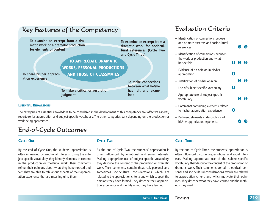

#### **ESSENTIAL KNOWLEDGES**

The categories of essential knowledges to be considered in the development of this competency are: affective aspects, repertoire for appreciation and subject-specific vocabulary. The other categories vary depending on the production or work being appreciated.

# End-of-Cycle Outcomes

### **CYCLE ONE**

By the end of Cycle One, the students' appreciation is often influenced by emotional interests. Using the subject-specific vocabulary, they identify elements of content in the production or theatrical work. Their comments reflect their opinions about what they have noticed and felt. They are able to talk about aspects of their appreciation experience that are meaningful to them.

### **CYCLE TWO**

By the end of Cycle Two, the students' appreciation is often influenced by emotional and social interests. Making appropriate use of subject-specific vocabulary, they describe the content of the production or dramatic work. Their comments contain theatrical, personal and sometimes sociocultural considerations, which are related to the appreciation criteria and which support the opinions they have formed. They describe their appreciation experience and identify what they have learned.

### **CYCLE THREE**

By the end of Cycle Three, the students' appreciation is often influenced by cognitive, emotional and social interests. Making appropriate use of the subject-specific vocabulary, they describe the content of the production or dramatic work. Their comments contain theatrical, personal and sociocultural considerations, which are related to appreciation criteria and which motivate their opinions.They describe what they have learned and the methods they used.

# Evaluation Criteria

| one or more excerpts and sociocultural<br>references                                      |    | 2                      | 3  |
|-------------------------------------------------------------------------------------------|----|------------------------|----|
| - Identification of connections between<br>the work or production and what<br>he/she felt | O  | 2 <sub>6</sub>         |    |
| - Evidence of an opinion in his/her<br>appreciation                                       | Ω  |                        |    |
| - Justification of his/her opinion                                                        |    | $\left 2\right\rangle$ | 3  |
| - Use of subject-specific vocabulary                                                      | 0  |                        |    |
| - Appropriate use of subject-specific<br>vocabulary                                       |    | 2                      | 3  |
| - Comments containing elements related<br>to his/her appreciation experience              | 1. |                        |    |
| - Pertinent elements in descriptions of<br>his/her appreciation experience                |    |                        | 3) |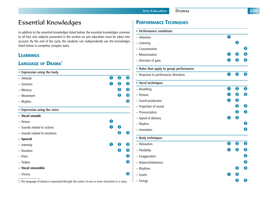In addition to the essential knowledges listed below, the essential knowledges common to all four arts subjects presented in the section on arts education must be taken into account. By the end of the cycle, the students can independently use the knowledges listed below in complete, complex tasks.

### **LEARNINGS**

### **LANGUAGE OF DRAMA1**

| • Expression using the body                                                                    |   |   |   |
|------------------------------------------------------------------------------------------------|---|---|---|
| - Attitude                                                                                     | 0 | ❷ | 8 |
| - Gestures                                                                                     | 0 | ❷ | ❸ |
| - Mimicry                                                                                      |   | ❷ | ❸ |
| - Movement                                                                                     |   | ❷ | ❸ |
| - Rhythm                                                                                       |   |   | ❸ |
| • Expression using the voice                                                                   |   |   |   |
| - Vocal sounds                                                                                 |   |   |   |
| - Noises                                                                                       | 0 |   |   |
| - Sounds related to actions                                                                    | 0 | 2 |   |
| - Sounds related to emotions                                                                   |   | 0 | ❸ |
| - Speech                                                                                       |   |   |   |
| - Intensity                                                                                    | 0 | ❷ | ❸ |
| - Duration                                                                                     |   | ❷ | ❸ |
| - Pitch                                                                                        |   |   | ❸ |
| - Timbre                                                                                       |   |   | ❸ |
| - Vocal ensemble                                                                               |   |   |   |
| - Chorus                                                                                       |   |   | ❸ |
| 1. The language of drama is expressed through the action of one or more characters in a story. |   |   |   |

### **PERFORMANCE TECHNIQUES**

| • Performance conditions                |             |   |   |
|-----------------------------------------|-------------|---|---|
| - Attention                             | $\bullet$   |   |   |
| - Listening                             |             | 2 |   |
| - Concentration                         |             |   | 3 |
| - Memorization                          | 0           | ❷ | 8 |
| - Direction of gaze                     | $\bullet$   | 2 | ❸ |
| • Rules that apply to group performance |             |   |   |
| - Response to performance directions    | $\bullet$   | 2 | ❸ |
| • Vocal techniques                      |             |   |   |
| - Breathing                             | 0           | 2 | 8 |
| - Posture                               | 0           | 2 | ❸ |
| - Sound production                      | $\mathbf 0$ | 2 |   |
| - Projection of sound                   |             | 2 | 8 |
| - Pronunciation                         |             | 2 | ❸ |
| - Speed of delivery                     | 0           | 2 |   |
| $-$ Rhythm                              |             |   | ❸ |
| - Intonation                            |             |   | ❸ |
| • Body techniques                       |             |   |   |
| - Relaxation                            | $\mathbf 0$ | 0 | ❸ |
| - Flexibility                           | 0           | 2 | ❸ |
| - Exaggeration                          |             |   | ❸ |
| - Balance/imbalance                     |             |   | ❸ |
| - Rhythms                               |             | 2 | 8 |
| - Levels                                | 1           | 2 |   |
| - Energy                                |             | 2 | ❸ |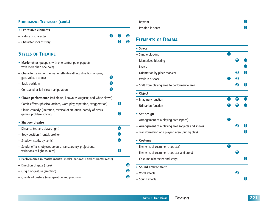| • Expressive elements                                                                             |                  |   |
|---------------------------------------------------------------------------------------------------|------------------|---|
| $\mathbf 0$<br>- Nature of character                                                              | $\boldsymbol{Q}$ | ❸ |
| - Characteristics of story                                                                        | 2                | ❸ |
| <b>STYLES OF THEATRE</b>                                                                          |                  |   |
| • Marionettes (puppets with one central pole, puppets<br>with more than one pole)                 |                  |   |
| - Characterization of the marionette (breathing, direction of gaze,<br>O<br>gait, voice, actions) |                  |   |
| 0<br>- Basic positions                                                                            |                  |   |
| 0<br>- Concealed or full-view manipulation                                                        |                  |   |
| • Clown performance (red clown, known as Auguste, and white clown)                                |                  |   |
| - Comic effects (physical actions, word play, repetition, exaggeration)                           | ❷                |   |
| - Clown comedy: (imitation, reversal of situation, parody of circus<br>games, problem solving)    | Q                |   |
| • Shadow theatre                                                                                  |                  |   |
| - Distance (screen, player, light)                                                                | 2                |   |
| - Body position (frontal, profile)                                                                | 2                |   |
| - Shadow (static, dynamic)                                                                        | 2                |   |
| - Special effects (objects, colours, transparency, projections,<br>variations of light sources)   | 2                |   |
| • Performance in masks (neutral masks, half-mask and character mask)                              |                  |   |
| - Direction of gaze (nose)                                                                        |                  | 8 |
| - Origin of gesture (emotion)                                                                     |                  | 8 |
| - Quality of gesture (exaggeration and precision)                                                 |                  | ❸ |

| - Rhythm            | 3 |
|---------------------|---|
| - Position in space | 3 |

### **ELEMENTS OF DRAMA**

| • Space                                             |   |   |   |
|-----------------------------------------------------|---|---|---|
| - Simple blocking                                   | 0 |   |   |
| - Memorized blocking                                |   | 2 | 3 |
| - Levels                                            |   |   | 3 |
| - Orientation by place markers                      |   | 2 | 8 |
| - Work in a space                                   | O | 2 |   |
| - Shift from playing area to performance area       |   | 2 | 3 |
| • Object                                            |   |   |   |
| - Imaginary function                                | A | 2 | 8 |
| - Utilitarian function                              | A | 2 | 3 |
| • Set design                                        |   |   |   |
| - Arrangement of a playing area (space)             | 0 |   |   |
| - Arrangement of a playing area (objects and space) |   | 2 | 3 |
| - Transformation of a playing area (during play)    |   |   | 3 |
| • Costume                                           |   |   |   |
| - Elements of costume (character)                   | 0 |   |   |
| - Elements of costume (character and story)         |   | 2 |   |
| - Costume (character and story)                     |   |   | 3 |
| Sound environment                                   |   |   |   |
| - Vocal effects                                     |   | 2 |   |
| - Sound effects                                     |   |   | 3 |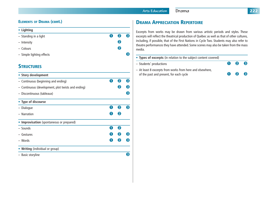### **ELEMENTS OF DRAMA (cont.)**

| • Lighting                |           |                  |   |
|---------------------------|-----------|------------------|---|
| $-$ Standing in a light   | $\bullet$ | $\boldsymbol{Q}$ | B |
| - Intensity               |           | 2                |   |
| - Colours                 |           | 2                |   |
| - Simple lighting effects |           |                  | 8 |

### **STRUCTURES**

| • Story development                                |   |   |   |
|----------------------------------------------------|---|---|---|
| - Continuous (beginning and ending)                | A | 2 | 8 |
| - Continuous (development, plot twists and ending) |   | 2 | 3 |
| - Discontinuous (tableaux)                         |   |   | 3 |
| • Type of discourse                                |   |   |   |
| - Dialogue                                         | A | 2 | 8 |
| - Narration                                        |   | 2 |   |
| • Improvisation (spontaneous or prepared)          |   |   |   |
| - Sounds                                           | A | 2 |   |
| - Gestures                                         |   | 2 | 8 |
| - Words                                            |   | 2 | 3 |
| • Writing (individual or group)                    |   |   |   |
| - Basic storyline                                  |   |   | 3 |

### **DRAMA APPRECIATION REPERTOIRE**

Excerpts from works may be drawn from various artistic periods and styles. These excerpts will reflect the theatrical production of Québec as well as that of other cultures, including, if possible, that of the First Nations in Cycle Two. Students may also refer to theatre performances they have attended. Some scenes may also be taken from the mass media.

**• Types of excerpts** (in relation to the subject content covered) – Students' productions ➊➋➌ – At least 8 excerpts from works from here and elsewhere, of the past and present, for each cycle **by the control of the past and present**, for each cycle